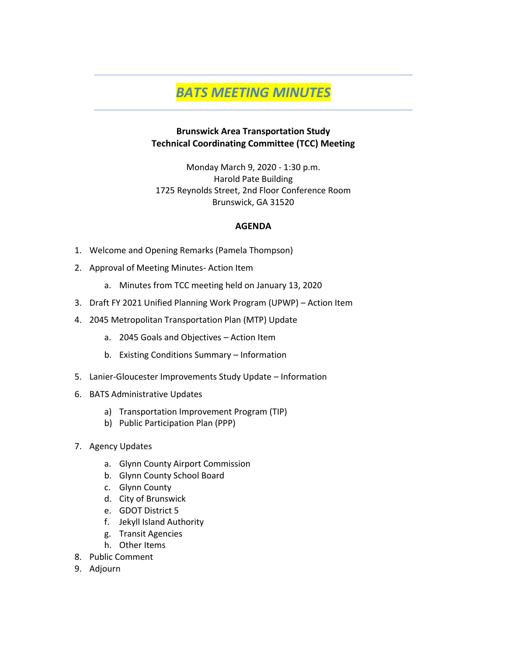# *BATS MEETING MINUTES*

### **Brunswick Area Transportation Study Technical Coordinating Committee (TCC) Meeting**

Monday March 9, 2020 - 1:30 p.m. Harold Pate Building 1725 Reynolds Street, 2nd Floor Conference Room Brunswick, GA 31520

### **AGENDA**

- 1. Welcome and Opening Remarks (Pamela Thompson)
- 2. Approval of Meeting Minutes- Action Item
	- a. Minutes from TCC meeting held on January 13, 2020
- 3. Draft FY 2021 Unified Planning Work Program (UPWP) Action Item
- 4. 2045 Metropolitan Transportation Plan (MTP) Update
	- a. 2045 Goals and Objectives Action Item
	- b. Existing Conditions Summary Information
- 5. Lanier-Gloucester Improvements Study Update Information
- 6. BATS Administrative Updates
	- a) Transportation Improvement Program (TIP)
	- b) Public Participation Plan (PPP)
- 7. Agency Updates
	- a. Glynn County Airport Commission
	- b. Glynn County School Board
	- c. Glynn County
	- d. City of Brunswick
	- e. GDOT District 5
	- f. Jekyll Island Authority
	- g. Transit Agencies
	- h. Other Items
- 8. Public Comment
- 9. Adjourn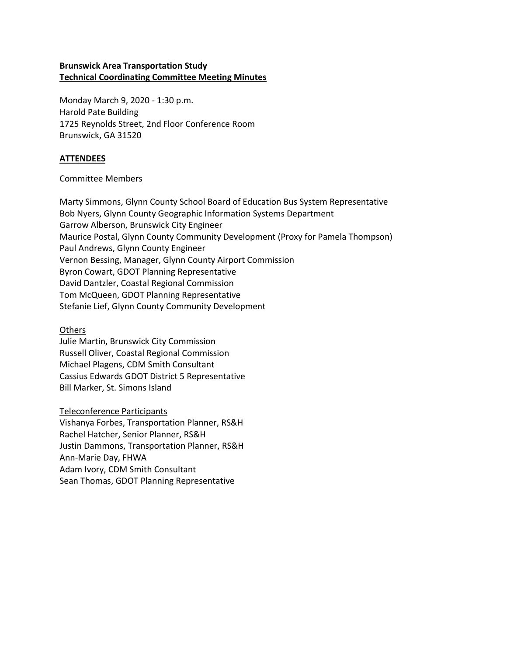### **Brunswick Area Transportation Study Technical Coordinating Committee Meeting Minutes**

Monday March 9, 2020 - 1:30 p.m. Harold Pate Building 1725 Reynolds Street, 2nd Floor Conference Room Brunswick, GA 31520

### **ATTENDEES**

#### Committee Members

Marty Simmons, Glynn County School Board of Education Bus System Representative Bob Nyers, Glynn County Geographic Information Systems Department Garrow Alberson, Brunswick City Engineer Maurice Postal, Glynn County Community Development (Proxy for Pamela Thompson) Paul Andrews, Glynn County Engineer Vernon Bessing, Manager, Glynn County Airport Commission Byron Cowart, GDOT Planning Representative David Dantzler, Coastal Regional Commission Tom McQueen, GDOT Planning Representative Stefanie Lief, Glynn County Community Development

#### Others

Julie Martin, Brunswick City Commission Russell Oliver, Coastal Regional Commission Michael Plagens, CDM Smith Consultant Cassius Edwards GDOT District 5 Representative Bill Marker, St. Simons Island

Teleconference Participants

Vishanya Forbes, Transportation Planner, RS&H Rachel Hatcher, Senior Planner, RS&H Justin Dammons, Transportation Planner, RS&H Ann-Marie Day, FHWA Adam Ivory, CDM Smith Consultant Sean Thomas, GDOT Planning Representative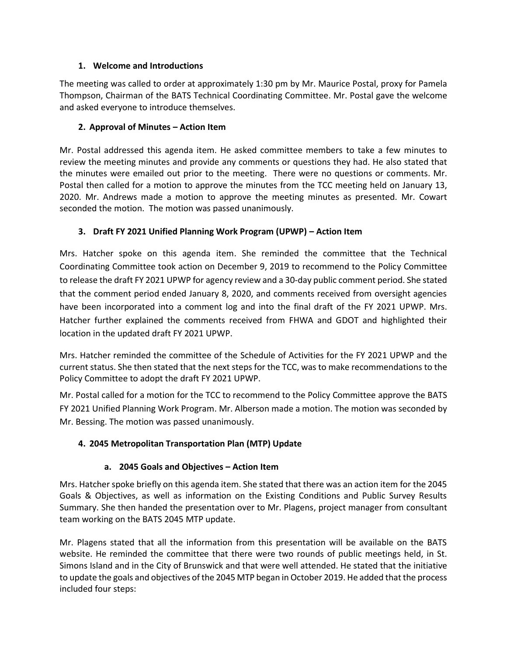### **1. Welcome and Introductions**

The meeting was called to order at approximately 1:30 pm by Mr. Maurice Postal, proxy for Pamela Thompson, Chairman of the BATS Technical Coordinating Committee. Mr. Postal gave the welcome and asked everyone to introduce themselves.

### **2. Approval of Minutes – Action Item**

Mr. Postal addressed this agenda item. He asked committee members to take a few minutes to review the meeting minutes and provide any comments or questions they had. He also stated that the minutes were emailed out prior to the meeting. There were no questions or comments. Mr. Postal then called for a motion to approve the minutes from the TCC meeting held on January 13, 2020. Mr. Andrews made a motion to approve the meeting minutes as presented. Mr. Cowart seconded the motion. The motion was passed unanimously.

# **3. Draft FY 2021 Unified Planning Work Program (UPWP) – Action Item**

Mrs. Hatcher spoke on this agenda item. She reminded the committee that the Technical Coordinating Committee took action on December 9, 2019 to recommend to the Policy Committee to release the draft FY 2021 UPWP for agency review and a 30-day public comment period. She stated that the comment period ended January 8, 2020, and comments received from oversight agencies have been incorporated into a comment log and into the final draft of the FY 2021 UPWP. Mrs. Hatcher further explained the comments received from FHWA and GDOT and highlighted their location in the updated draft FY 2021 UPWP.

Mrs. Hatcher reminded the committee of the Schedule of Activities for the FY 2021 UPWP and the current status. She then stated that the next steps for the TCC, was to make recommendations to the Policy Committee to adopt the draft FY 2021 UPWP.

Mr. Postal called for a motion for the TCC to recommend to the Policy Committee approve the BATS FY 2021 Unified Planning Work Program. Mr. Alberson made a motion. The motion was seconded by Mr. Bessing. The motion was passed unanimously.

# **4. 2045 Metropolitan Transportation Plan (MTP) Update**

# **a. 2045 Goals and Objectives – Action Item**

Mrs. Hatcher spoke briefly on this agenda item. She stated that there was an action item for the 2045 Goals & Objectives, as well as information on the Existing Conditions and Public Survey Results Summary. She then handed the presentation over to Mr. Plagens, project manager from consultant team working on the BATS 2045 MTP update.

Mr. Plagens stated that all the information from this presentation will be available on the BATS website. He reminded the committee that there were two rounds of public meetings held, in St. Simons Island and in the City of Brunswick and that were well attended. He stated that the initiative to update the goals and objectives of the 2045 MTP began in October 2019. He added that the process included four steps: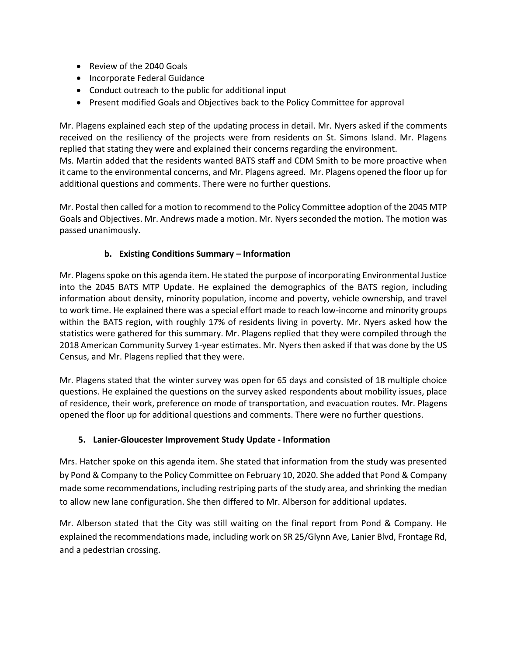- Review of the 2040 Goals
- Incorporate Federal Guidance
- Conduct outreach to the public for additional input
- Present modified Goals and Objectives back to the Policy Committee for approval

Mr. Plagens explained each step of the updating process in detail. Mr. Nyers asked if the comments received on the resiliency of the projects were from residents on St. Simons Island. Mr. Plagens replied that stating they were and explained their concerns regarding the environment.

Ms. Martin added that the residents wanted BATS staff and CDM Smith to be more proactive when it came to the environmental concerns, and Mr. Plagens agreed. Mr. Plagens opened the floor up for additional questions and comments. There were no further questions.

Mr. Postal then called for a motion to recommend to the Policy Committee adoption of the 2045 MTP Goals and Objectives. Mr. Andrews made a motion. Mr. Nyers seconded the motion. The motion was passed unanimously.

# **b. Existing Conditions Summary – Information**

Mr. Plagens spoke on this agenda item. He stated the purpose of incorporating Environmental Justice into the 2045 BATS MTP Update. He explained the demographics of the BATS region, including information about density, minority population, income and poverty, vehicle ownership, and travel to work time. He explained there was a special effort made to reach low-income and minority groups within the BATS region, with roughly 17% of residents living in poverty. Mr. Nyers asked how the statistics were gathered for this summary. Mr. Plagens replied that they were compiled through the 2018 American Community Survey 1-year estimates. Mr. Nyers then asked if that was done by the US Census, and Mr. Plagens replied that they were.

Mr. Plagens stated that the winter survey was open for 65 days and consisted of 18 multiple choice questions. He explained the questions on the survey asked respondents about mobility issues, place of residence, their work, preference on mode of transportation, and evacuation routes. Mr. Plagens opened the floor up for additional questions and comments. There were no further questions.

# **5. Lanier-Gloucester Improvement Study Update - Information**

Mrs. Hatcher spoke on this agenda item. She stated that information from the study was presented by Pond & Company to the Policy Committee on February 10, 2020. She added that Pond & Company made some recommendations, including restriping parts of the study area, and shrinking the median to allow new lane configuration. She then differed to Mr. Alberson for additional updates.

Mr. Alberson stated that the City was still waiting on the final report from Pond & Company. He explained the recommendations made, including work on SR 25/Glynn Ave, Lanier Blvd, Frontage Rd, and a pedestrian crossing.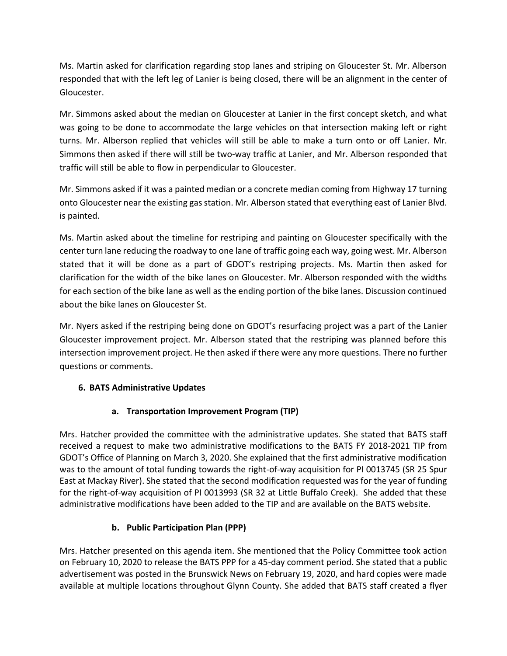Ms. Martin asked for clarification regarding stop lanes and striping on Gloucester St. Mr. Alberson responded that with the left leg of Lanier is being closed, there will be an alignment in the center of Gloucester.

Mr. Simmons asked about the median on Gloucester at Lanier in the first concept sketch, and what was going to be done to accommodate the large vehicles on that intersection making left or right turns. Mr. Alberson replied that vehicles will still be able to make a turn onto or off Lanier. Mr. Simmons then asked if there will still be two-way traffic at Lanier, and Mr. Alberson responded that traffic will still be able to flow in perpendicular to Gloucester.

Mr. Simmons asked if it was a painted median or a concrete median coming from Highway 17 turning onto Gloucester near the existing gas station. Mr. Alberson stated that everything east of Lanier Blvd. is painted.

Ms. Martin asked about the timeline for restriping and painting on Gloucester specifically with the center turn lane reducing the roadway to one lane of traffic going each way, going west. Mr. Alberson stated that it will be done as a part of GDOT's restriping projects. Ms. Martin then asked for clarification for the width of the bike lanes on Gloucester. Mr. Alberson responded with the widths for each section of the bike lane as well as the ending portion of the bike lanes. Discussion continued about the bike lanes on Gloucester St.

Mr. Nyers asked if the restriping being done on GDOT's resurfacing project was a part of the Lanier Gloucester improvement project. Mr. Alberson stated that the restriping was planned before this intersection improvement project. He then asked if there were any more questions. There no further questions or comments.

# **6. BATS Administrative Updates**

# **a. Transportation Improvement Program (TIP)**

Mrs. Hatcher provided the committee with the administrative updates. She stated that BATS staff received a request to make two administrative modifications to the BATS FY 2018-2021 TIP from GDOT's Office of Planning on March 3, 2020. She explained that the first administrative modification was to the amount of total funding towards the right-of-way acquisition for PI 0013745 (SR 25 Spur East at Mackay River). She stated that the second modification requested was for the year of funding for the right-of-way acquisition of PI 0013993 (SR 32 at Little Buffalo Creek). She added that these administrative modifications have been added to the TIP and are available on the BATS website.

# **b. Public Participation Plan (PPP)**

Mrs. Hatcher presented on this agenda item. She mentioned that the Policy Committee took action on February 10, 2020 to release the BATS PPP for a 45-day comment period. She stated that a public advertisement was posted in the Brunswick News on February 19, 2020, and hard copies were made available at multiple locations throughout Glynn County. She added that BATS staff created a flyer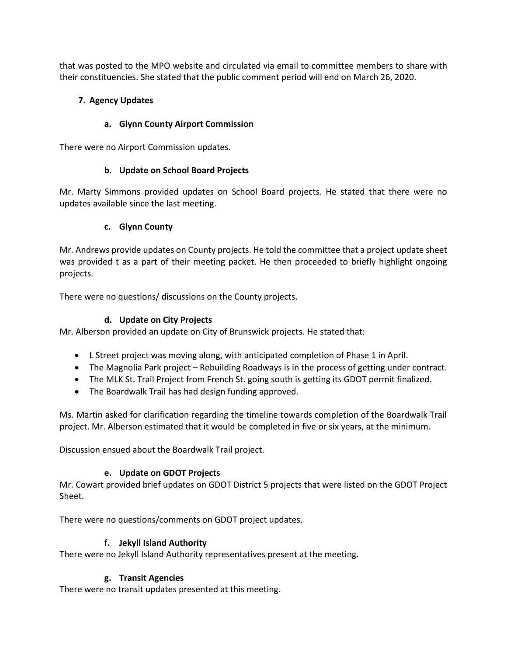that was posted to the MPO website and circulated via email to committee members to share with their constituencies. She stated that the public comment period will end on March 26, 2020.

# **7. Agency Updates**

# **a. Glynn County Airport Commission**

There were no Airport Commission updates.

# **b. Update on School Board Projects**

Mr. Marty Simmons provided updates on School Board projects. He stated that there were no updates available since the last meeting.

# **c. Glynn County**

Mr. Andrews provide updates on County projects. He told the committee that a project update sheet was provided t as a part of their meeting packet. He then proceeded to briefly highlight ongoing projects.

There were no questions/ discussions on the County projects.

# **d. Update on City Projects**

Mr. Alberson provided an update on City of Brunswick projects. He stated that:

- L Street project was moving along, with anticipated completion of Phase 1 in April.
- The Magnolia Park project Rebuilding Roadways is in the process of getting under contract.
- The MLK St. Trail Project from French St. going south is getting its GDOT permit finalized.
- The Boardwalk Trail has had design funding approved.

Ms. Martin asked for clarification regarding the timeline towards completion of the Boardwalk Trail project. Mr. Alberson estimated that it would be completed in five or six years, at the minimum.

Discussion ensued about the Boardwalk Trail project.

# **e. Update on GDOT Projects**

Mr. Cowart provided brief updates on GDOT District 5 projects that were listed on the GDOT Project Sheet.

There were no questions/comments on GDOT project updates.

# **f. Jekyll Island Authority**

There were no Jekyll Island Authority representatives present at the meeting.

# **g. Transit Agencies**

There were no transit updates presented at this meeting.